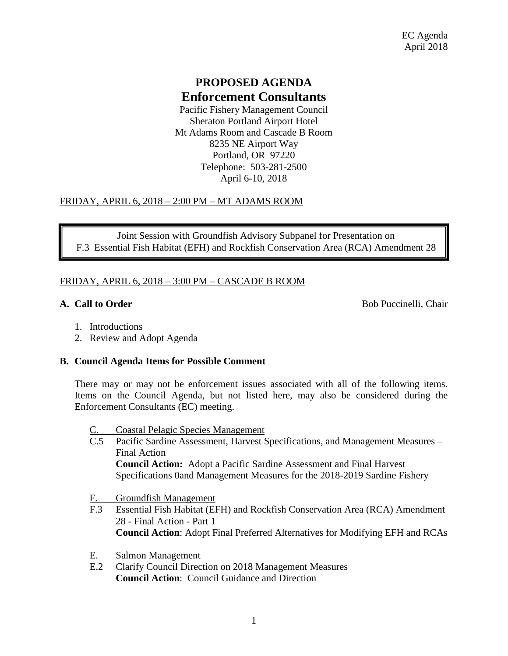# **PROPOSED AGENDA Enforcement Consultants**

Pacific Fishery Management Council Sheraton Portland Airport Hotel Mt Adams Room and Cascade B Room 8235 NE Airport Way Portland, OR 97220 Telephone: 503-281-2500 April 6-10, 2018

## FRIDAY, APRIL 6, 2018 – 2:00 PM – MT ADAMS ROOM

Joint Session with Groundfish Advisory Subpanel for Presentation on F.3 Essential Fish Habitat (EFH) and Rockfish Conservation Area (RCA) Amendment 28

## FRIDAY, APRIL 6, 2018 – 3:00 PM – CASCADE B ROOM

**A. Call to Order** Bob Puccinelli, Chair

- 1. Introductions
- 2. Review and Adopt Agenda

## **B. Council Agenda Items for Possible Comment**

There may or may not be enforcement issues associated with all of the following items. Items on the Council Agenda, but not listed here, may also be considered during the Enforcement Consultants (EC) meeting.

- Coastal Pelagic Species Management
- C.5 Pacific Sardine Assessment, Harvest Specifications, and Management Measures Final Action **Council Action:** Adopt a Pacific Sardine Assessment and Final Harvest Specifications 0and Management Measures for the 2018-2019 Sardine Fishery
- F. Groundfish Management
- F.3 Essential Fish Habitat (EFH) and Rockfish Conservation Area (RCA) Amendment 28 - Final Action - Part 1 **Council Action**: Adopt Final Preferred Alternatives for Modifying EFH and RCAs
- E. Salmon Management
- E.2 Clarify Council Direction on 2018 Management Measures **Council Action**: Council Guidance and Direction